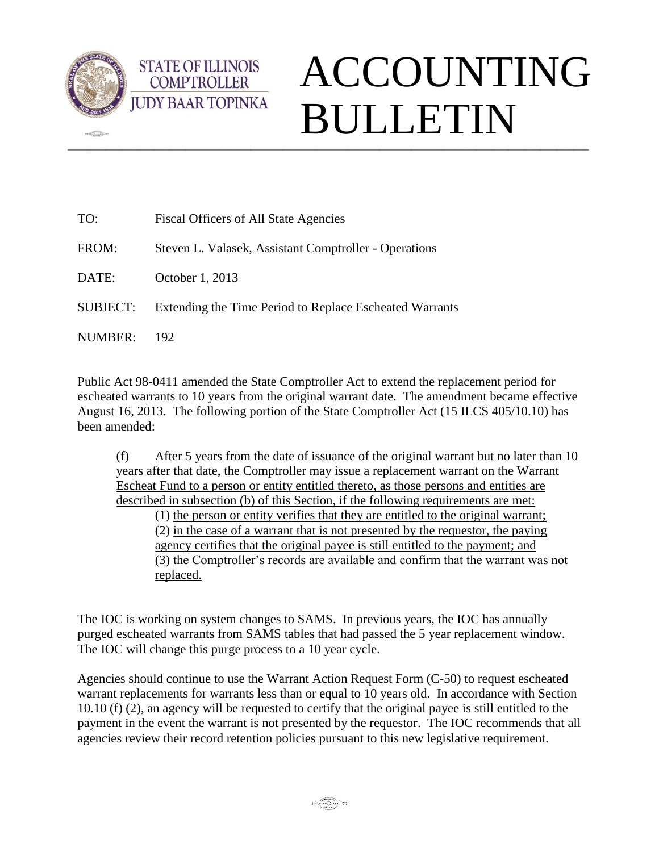

 $\sqrt{2\pi}$ 

**STATE OF ILLINOIS COMPTROLLER** 

## $\_$  ,  $\_$  ,  $\_$  ,  $\_$  ,  $\_$  ,  $\_$  ,  $\_$  ,  $\_$  ,  $\_$  ,  $\_$  ,  $\_$  ,  $\_$  ,  $\_$  ,  $\_$  ,  $\_$  ,  $\_$  ,  $\_$  ,  $\_$  ,  $\_$  ,  $\_$  ,  $\_$  ,  $\_$  ,  $\_$  ,  $\_$  ,  $\_$  ,  $\_$  ,  $\_$  ,  $\_$  ,  $\_$  ,  $\_$  ,  $\_$  ,  $\_$  ,  $\_$  ,  $\_$  ,  $\_$  ,  $\_$  ,  $\_$  , ACCOUNTING BULLETIN

| TO:      | Fiscal Officers of All State Agencies                   |
|----------|---------------------------------------------------------|
| FROM:    | Steven L. Valasek, Assistant Comptroller - Operations   |
| DATE:    | October 1, 2013                                         |
| SUBJECT: | Extending the Time Period to Replace Escheated Warrants |
| NUMBER:  | 192                                                     |

Public Act 98-0411 amended the State Comptroller Act to extend the replacement period for escheated warrants to 10 years from the original warrant date. The amendment became effective August 16, 2013. The following portion of the State Comptroller Act (15 ILCS 405/10.10) has been amended:

(f) After 5 years from the date of issuance of the original warrant but no later than 10 years after that date, the Comptroller may issue a replacement warrant on the Warrant Escheat Fund to a person or entity entitled thereto, as those persons and entities are described in subsection (b) of this Section, if the following requirements are met:

(1) the person or entity verifies that they are entitled to the original warrant; (2) in the case of a warrant that is not presented by the requestor, the paying agency certifies that the original payee is still entitled to the payment; and (3) the Comptroller's records are available and confirm that the warrant was not replaced.

The IOC is working on system changes to SAMS. In previous years, the IOC has annually purged escheated warrants from SAMS tables that had passed the 5 year replacement window. The IOC will change this purge process to a 10 year cycle.

Agencies should continue to use the Warrant Action Request Form (C-50) to request escheated warrant replacements for warrants less than or equal to 10 years old. In accordance with Section 10.10 (f) (2), an agency will be requested to certify that the original payee is still entitled to the payment in the event the warrant is not presented by the requestor. The IOC recommends that all agencies review their record retention policies pursuant to this new legislative requirement.